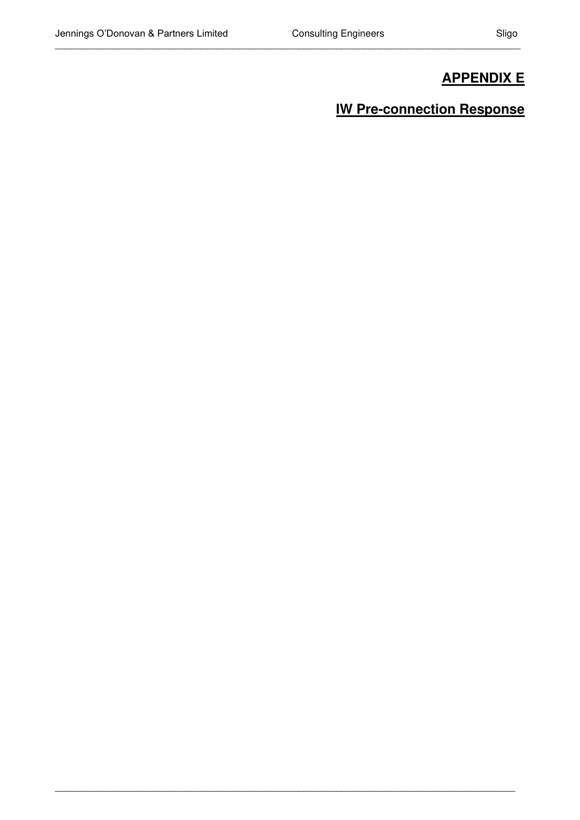\_\_\_\_\_\_\_\_\_\_\_\_\_\_\_\_\_\_\_\_\_\_\_\_\_\_\_\_\_\_\_\_\_\_\_\_\_\_\_\_\_\_\_\_\_\_\_\_\_\_\_\_\_\_\_\_\_\_\_\_\_\_\_\_\_\_\_\_\_\_\_\_\_\_\_\_\_\_\_\_\_\_\_\_\_\_

\_\_\_\_\_\_\_\_\_\_\_\_\_\_\_\_\_\_\_\_\_\_\_\_\_\_\_\_\_\_\_\_\_\_\_\_\_\_\_\_\_\_\_\_\_\_\_\_\_\_\_\_\_\_\_\_\_\_\_\_\_\_\_\_\_\_\_\_\_\_\_\_\_\_\_\_\_\_\_\_\_\_\_\_\_

## **APPENDIX E**

## **IW Pre-connection Response**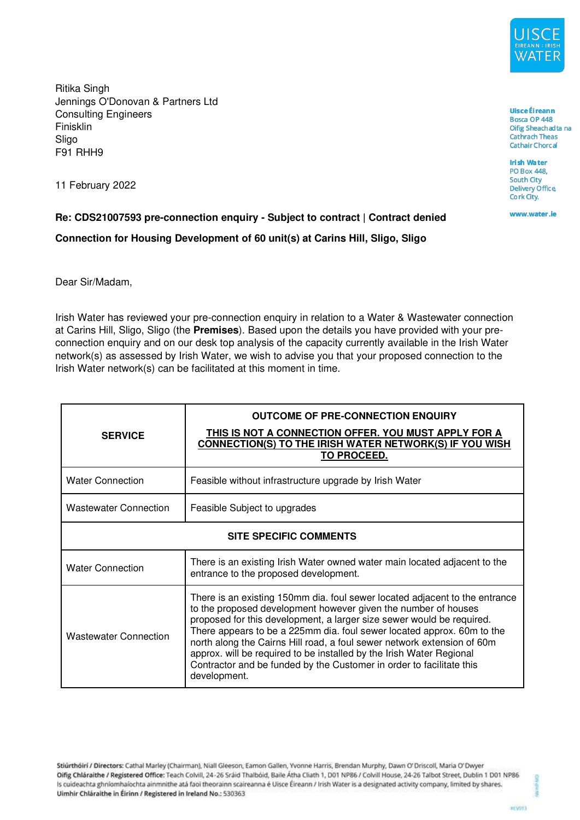

Ritika Singh Jennings O'Donovan & Partners Ltd Consulting Engineers Finisklin Sligo F91 RHH9

11 February 2022

**Re: CDS21007593 pre-connection enquiry - Subject to contract | Contract denied Connection for Housing Development of 60 unit(s) at Carins Hill, Sligo, Sligo** 

Dear Sir/Madam,

Irish Water has reviewed your pre-connection enquiry in relation to a Water & Wastewater connection at Carins Hill, Sligo, Sligo (the **Premises**). Based upon the details you have provided with your preconnection enquiry and on our desk top analysis of the capacity currently available in the Irish Water network(s) as assessed by Irish Water, we wish to advise you that your proposed connection to the Irish Water network(s) can be facilitated at this moment in time.

| <b>SERVICE</b>                | <b>OUTCOME OF PRE-CONNECTION ENQUIRY</b><br>THIS IS NOT A CONNECTION OFFER. YOU MUST APPLY FOR A<br>CONNECTION(S) TO THE IRISH WATER NETWORK(S) IF YOU WISH<br><b>TO PROCEED.</b>                                                                                                                                                                                                                                                                                                                                                           |
|-------------------------------|---------------------------------------------------------------------------------------------------------------------------------------------------------------------------------------------------------------------------------------------------------------------------------------------------------------------------------------------------------------------------------------------------------------------------------------------------------------------------------------------------------------------------------------------|
| <b>Water Connection</b>       | Feasible without infrastructure upgrade by Irish Water                                                                                                                                                                                                                                                                                                                                                                                                                                                                                      |
| <b>Wastewater Connection</b>  | Feasible Subject to upgrades                                                                                                                                                                                                                                                                                                                                                                                                                                                                                                                |
| <b>SITE SPECIFIC COMMENTS</b> |                                                                                                                                                                                                                                                                                                                                                                                                                                                                                                                                             |
| <b>Water Connection</b>       | There is an existing Irish Water owned water main located adjacent to the<br>entrance to the proposed development.                                                                                                                                                                                                                                                                                                                                                                                                                          |
| <b>Wastewater Connection</b>  | There is an existing 150mm dia. foul sewer located adjacent to the entrance<br>to the proposed development however given the number of houses<br>proposed for this development, a larger size sewer would be required.<br>There appears to be a 225mm dia. foul sewer located approx. 60m to the<br>north along the Cairns Hill road, a foul sewer network extension of 60m<br>approx. will be required to be installed by the Irish Water Regional<br>Contractor and be funded by the Customer in order to facilitate this<br>development. |

Stiurtholri / Directors: Cathal Marley (Chairman), Niall Gleeson, Eamon Gallen, Yvonne Harris, Brendan Murphy, Dawn O' Driscoll, Maria O' Dwyer Oifig Chláraithe / Registered Office: Teach Colvill, 24-26 Sráid Thalbóid, Baile Átha Cliath 1, D01 NP86 / Colvill House, 24-26 Talbot Street, Dublin 1 D01 NP86 Is cuideachta ghníomhaíochta ainmnithe atá faoi theorainn scaireanna é Uisce Éireann / Irish Water is a designated activity company, limited by shares. Uimhir Chláraithe in Éirinn / Registered in Ireland No.: 530363

**Uisce** Éireann Bosca OP 448 Oifig Sheach adta na **Cathrach Theas Cathair Chorcaí** 

**Irish Water PO Box 448. South City Delivery Office** Cork City.

www.water.ie